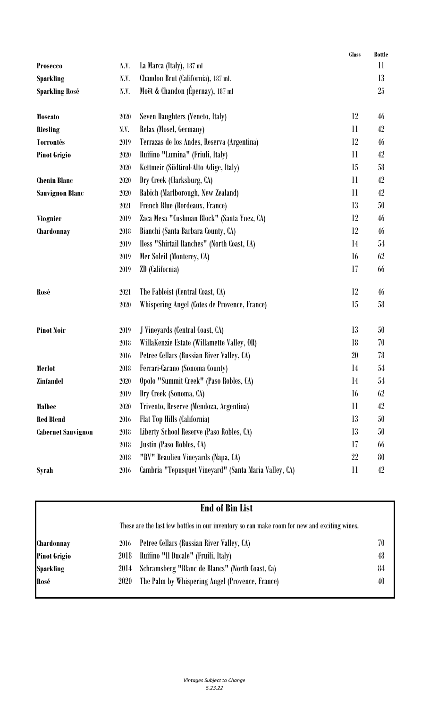|                           |      |                                                       | Glass                  | <b>Bottle</b> |
|---------------------------|------|-------------------------------------------------------|------------------------|---------------|
| <b>Prosecco</b>           | N.V. | La Marca (Italy), 187 ml                              |                        | 11            |
| <b>Sparkling</b>          | N.V. | Chandon Brut (California), 187 ml.                    |                        | 13            |
| <b>Sparkling Rosé</b>     | N.V. | Moët & Chandon (Épernay), 187 ml                      |                        | 25            |
| <b>Moscato</b>            | 2020 | Seven Daughters (Veneto, Italy)                       | 12                     | 46            |
| Riesling                  | N.V. | Relax (Mosel, Germany)                                | 11                     | 42            |
| <b>Torrontés</b>          | 2019 | Terrazas de los Andes, Reserva (Argentina)            | 12                     | 46            |
| <b>Pinot Grigio</b>       | 2020 | Ruffino "Lumina" (Friuli, Italy)                      | 11                     | 42            |
|                           | 2020 | Kettmeir (Südtirol-Alto Adige, Italy)                 | 15                     | 58            |
| <b>Chenin Blanc</b>       | 2020 | Dry Creek (Clarksburg, CA)                            | 11                     | 42            |
| <b>Sauvignon Blanc</b>    | 2020 | Babich (Marlborough, New Zealand)                     | 11                     | 42            |
|                           | 2021 | French Blue (Bordeaux, France)                        | 13                     | 50            |
| <b>Viognier</b>           | 2019 | Zaca Mesa "Cushman Block" (Santa Ynez, CA)            | 12                     | 46            |
| Chardonnay                | 2018 | Bianchi (Santa Barbara County, CA)                    | 12                     | 46            |
|                           | 2019 | Hess "Shirtail Ranches" (North Coast, CA)             | 14                     | 54            |
|                           | 2019 | Mer Soleil (Monterey, CA)                             | 16                     | 62            |
|                           | 2019 | ZD (California)                                       | 17                     | 66            |
| Rosé                      | 2021 | The Fableist (Central Coast, CA)                      | 12                     | 46            |
|                           | 2020 | Whispering Angel (Cotes de Provence, France)          | 15                     | 58            |
| <b>Pinot Noir</b>         | 2019 | J Vineyards (Central Coast, CA)                       | 13                     | 50            |
|                           | 2018 | WillaKenzie Estate (Willamette Valley, OR)            | 18                     | 70            |
|                           | 2016 | Petree Cellars (Russian River Valley, CA)             | 20                     | 78            |
| Merlot                    | 2018 | Ferrari-Carano (Sonoma County)                        | 14                     | 54            |
| <b>Zinfandel</b>          | 2020 | Opolo "Summit Creek" (Paso Robles, CA)                | 14                     | 54            |
|                           | 2019 | Dry Creek (Sonoma, CA)                                | 16                     | 62            |
| <b>Malbec</b>             | 2020 | Trivento, Reserve (Mendoza, Argentina)                | 11                     | 42            |
| <b>Red Blend</b>          | 2016 | Flat Top Hills (California)                           | 13                     | 50            |
| <b>Cabernet Sauvignon</b> | 2018 | Liberty School Reserve (Paso Robles, CA)              | 13                     | 50            |
|                           | 2018 | Justin (Paso Robles, CA)                              | 17                     | 66            |
|                           | 2018 | "BV" Beaulieu Vineyards (Napa, CA)                    | 22                     | 80            |
| <b>Syrah</b>              | 2016 | Cambria "Tepusquet Vineyard" (Santa Maria Valley, CA) | $\mathop{\mathrm{ll}}$ | 42            |

|              |                                                                                              | <b>End of Bin List</b>                          |    |
|--------------|----------------------------------------------------------------------------------------------|-------------------------------------------------|----|
|              | These are the last few bottles in our inventory so can make room for new and exciting wines. |                                                 |    |
| Chardonnay   | 2016                                                                                         | Petree Cellars (Russian River Valley, CA)       | 70 |
| Pinot Grigio | 2018                                                                                         | Ruffino "Il Ducale" (Fruili, Italy)             | 48 |
| Sparkling    | 2014                                                                                         | Schramsberg "Blanc de Blancs" (North Coast, Ca) | 84 |
| Rosé         | 2020                                                                                         | The Palm by Whispering Angel (Provence, France) | 40 |
|              |                                                                                              |                                                 |    |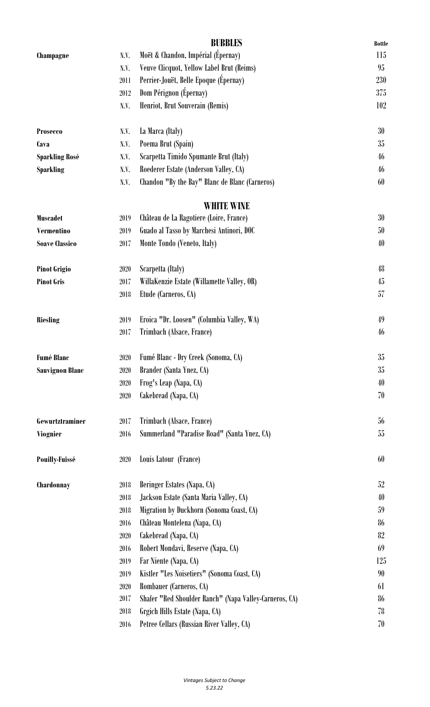|                        |          | <b>BUBBLES</b>                                         | <b>Bottle</b> |
|------------------------|----------|--------------------------------------------------------|---------------|
| Champagne              | N.V.     | Moët & Chandon, Impérial (Épernay)                     | 115           |
|                        | N.V.     | Veuve Clicquot, Yellow Label Brut (Reims)              | 95            |
|                        | 2011     | Perrier-Jouët, Belle Epoque (Épernay)                  | 230           |
|                        | 2012     | Dom Pérignon (Épernay)                                 | 375           |
|                        | N.V.     | Henriot, Brut Souverain (Remis)                        | 102           |
| <b>Prosecco</b>        | N.V.     | La Marca (Italy)                                       | 30            |
| Cava                   | N.V.     | Poema Brut (Spain)                                     | 35            |
| <b>Sparkling Rosé</b>  | N.V.     | Scarpetta Timido Spumante Brut (Italy)                 | 46            |
| <b>Sparkling</b>       | N.V.     | Roederer Estate (Anderson Valley, CA)                  | 46            |
|                        | N.V.     | Chandon "By the Bay" Blanc de Blanc (Carneros)         | 60            |
|                        |          | <b>WHITE WINE</b>                                      |               |
| <b>Muscadet</b>        | 2019     | Château de La Ragotiere (Loire, France)                | 30            |
| <b>Vermentino</b>      | 2019     | Guado al Tasso by Marchesi Antinori, DOC               | 50            |
| <b>Soave Classico</b>  | 2017     | Monte Tondo (Veneto, Italy)                            | 40            |
| <b>Pinot Grigio</b>    | $2020\,$ | Scarpetta (Italy)                                      | 48            |
| <b>Pinot Gris</b>      | 2017     | WillaKenzie Estate (Willamette Valley, OR)             | 45            |
|                        | 2018     | Etude (Carneros, CA)                                   | 57            |
| <b>Riesling</b>        | 2019     | Eroica "Dr. Loosen" (Columbia Valley, WA)              | 49            |
|                        | 2017     | Trimbach (Alsace, France)                              | 46            |
| <b>Fumé Blanc</b>      | 2020     | Fumé Blanc - Dry Creek (Sonoma, CA)                    | 35            |
| <b>Sauvignon Blanc</b> | 2020     | Brander (Santa Ynez, CA)                               | $35\,$        |
|                        | 2020     | Frog's Leap (Napa, CA)                                 | 40            |
|                        | 2020     | Cakebread (Napa, CA)                                   | 70            |
| Gewurtztraminer        | 2017     | Trimbach (Alsace, France)                              | 56            |
| <b>Viognier</b>        | 2016     | Summerland "Paradise Road" (Santa Ynez, CA)            | 55            |
| <b>Pouilly-Fuissé</b>  | 2020     | Louis Latour (France)                                  | 60            |
| Chardonnay             | 2018     | Beringer Estates (Napa, CA)                            | 52            |
|                        | 2018     | Jackson Estate (Santa Maria Valley, CA)                | 40            |
|                        | 2018     | Migration by Duckhorn (Sonoma Coast, CA)               | 59            |
|                        | 2016     | Château Montelena (Napa, CA)                           | 86            |
|                        | 2020     | Cakebread (Napa, CA)                                   | 82            |
|                        | 2016     | Robert Mondavi, Reserve (Napa, CA)                     | 69            |
|                        | 2019     | Far Niente (Napa, CA)                                  | 125           |
|                        | 2019     | Kistler "Les Noisetiers" (Sonoma Coast, CA)            | 90            |
|                        | 2020     | Rombauer (Carneros, CA)                                | 61            |
|                        | 2017     | Shafer "Red Shoulder Ranch" (Napa Valley-Carneros, CA) | 86            |
|                        | 2018     | Grgich Hills Estate (Napa, CA)                         | 78            |
|                        | $2016\,$ | Petree Cellars (Russian River Valley, CA)              | 70            |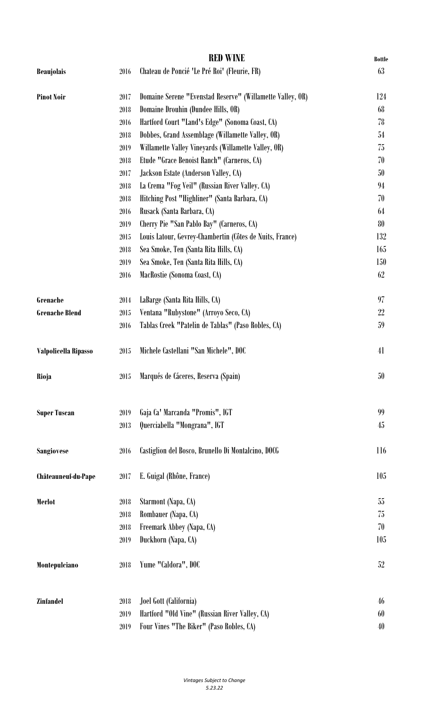|                       |      | <b>RED WINE</b>                                           | <b>Bottle</b> |
|-----------------------|------|-----------------------------------------------------------|---------------|
| <b>Beaujolais</b>     | 2016 | Chateau de Poncié 'Le Pré Roi' (Fleurie, FR)              | 63            |
| <b>Pinot Noir</b>     | 2017 | Domaine Serene "Evenstad Reserve" (Willamette Valley, OR) | 124           |
|                       | 2018 | Domaine Drouhin (Dundee Hills, OR)                        | 68            |
|                       | 2016 | Hartford Court "Land's Edge" (Sonoma Coast, CA)           | 78            |
|                       | 2018 | Dobbes, Grand Assemblage (Willamette Valley, OR)          | 54            |
|                       | 2019 | Willamette Valley Vineyards (Willamette Valley, OR)       | 75            |
|                       | 2018 | Etude "Grace Benoist Ranch" (Carneros, CA)                | 70            |
|                       | 2017 | Jackson Estate (Anderson Valley, CA)                      | 50            |
|                       | 2018 | La Crema "Fog Veil" (Russian River Valley. CA)            | 94            |
|                       | 2018 | Hitching Post "Highliner" (Santa Barbara, CA)             | 70            |
|                       | 2016 | Rusack (Santa Barbara, CA)                                | 64            |
|                       | 2019 | Cherry Pie "San Pablo Bay" (Carneros, CA)                 | 80            |
|                       | 2015 | Louis Latour, Gevrey-Chambertin (Côtes de Nuits, France)  | 132           |
|                       | 2018 | Sea Smoke, Ten (Santa Rita Hills, CA)                     | 165           |
|                       | 2019 | Sea Smoke, Ten (Santa Rita Hills, CA)                     | 150           |
|                       | 2016 | MacRostie (Sonoma Coast, CA)                              | 62            |
| Grenache              | 2014 | LaBarge (Santa Rita Hills, CA)                            | 97            |
| <b>Grenache Blend</b> | 2015 | Ventana "Rubystone" (Arroyo Seco, CA)                     | 22            |
|                       | 2016 | Tablas Creek "Patelin de Tablas" (Paso Robles, CA)        | 59            |
| Valpolicella Ripasso  | 2015 | Michele Castellani "San Michele", DOC                     | 41            |
| Rioja                 | 2015 | Marqués de Cáceres, Reserva (Spain)                       | 50            |
| <b>Super Tuscan</b>   | 2019 | Gaja Ca' Marcanda "Promis", IGT                           | 99            |
|                       | 2013 | Querciabella "Mongrana", IGT                              | 45            |
| <b>Sangiovese</b>     | 2016 | Castiglion del Bosco, Brunello Di Montalcino, DOCG        | 116           |
| Châteauneuf-du-Pape   | 2017 | E. Guigal (Rhône, France)                                 | 105           |
| Merlot                | 2018 | Starmont (Napa, CA)                                       | 55            |
|                       | 2018 | Rombauer (Napa, CA)                                       | 75            |
|                       | 2018 | Freemark Abbey (Napa, CA)                                 | 70            |
|                       | 2019 | Duckhorn (Napa, CA)                                       | 105           |
| Montepulciano         | 2018 | Yume "Caldora", DOC                                       | 52            |
| <b>Zinfandel</b>      | 2018 | Joel Gott (California)                                    | 46            |
|                       | 2019 | Hartford "Old Vine" (Russian River Valley, CA)            | 60            |
|                       | 2019 | Four Vines "The Biker" (Paso Robles, CA)                  | 40            |